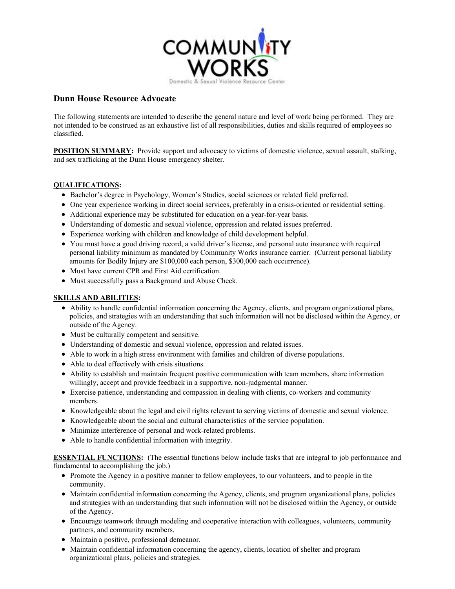

## **Dunn House Resource Advocate**

The following statements are intended to describe the general nature and level of work being performed. They are not intended to be construed as an exhaustive list of all responsibilities, duties and skills required of employees so classified.

**POSITION SUMMARY:** Provide support and advocacy to victims of domestic violence, sexual assault, stalking, and sex trafficking at the Dunn House emergency shelter.

## **QUALIFICATIONS:**

- Bachelor's degree in Psychology, Women's Studies, social sciences or related field preferred.
- One year experience working in direct social services, preferably in a crisis-oriented or residential setting.
- Additional experience may be substituted for education on a year-for-year basis.
- Understanding of domestic and sexual violence, oppression and related issues preferred.
- Experience working with children and knowledge of child development helpful.
- You must have a good driving record, a valid driver's license, and personal auto insurance with required personal liability minimum as mandated by Community Works insurance carrier. (Current personal liability amounts for Bodily Injury are \$100,000 each person, \$300,000 each occurrence).
- $\bullet$  Must have current CPR and First Aid certification.
- Must successfully pass a Background and Abuse Check.

## **SKILLS AND ABILITIES:**

- Ability to handle confidential information concerning the Agency, clients, and program organizational plans, policies, and strategies with an understanding that such information will not be disclosed within the Agency, or outside of the Agency.
- Must be culturally competent and sensitive.
- Understanding of domestic and sexual violence, oppression and related issues.
- Able to work in a high stress environment with families and children of diverse populations.
- Able to deal effectively with crisis situations.
- Ability to establish and maintain frequent positive communication with team members, share information willingly, accept and provide feedback in a supportive, non-judgmental manner.
- Exercise patience, understanding and compassion in dealing with clients, co-workers and community members.
- Knowledgeable about the legal and civil rights relevant to serving victims of domestic and sexual violence.
- Knowledgeable about the social and cultural characteristics of the service population.
- Minimize interference of personal and work-related problems.
- Able to handle confidential information with integrity.

**ESSENTIAL FUNCTIONS:** (The essential functions below include tasks that are integral to job performance and fundamental to accomplishing the job.)

- Promote the Agency in a positive manner to fellow employees, to our volunteers, and to people in the community.
- Maintain confidential information concerning the Agency, clients, and program organizational plans, policies and strategies with an understanding that such information will not be disclosed within the Agency, or outside of the Agency.
- Encourage teamwork through modeling and cooperative interaction with colleagues, volunteers, community partners, and community members.
- Maintain a positive, professional demeanor.
- Maintain confidential information concerning the agency, clients, location of shelter and program organizational plans, policies and strategies.